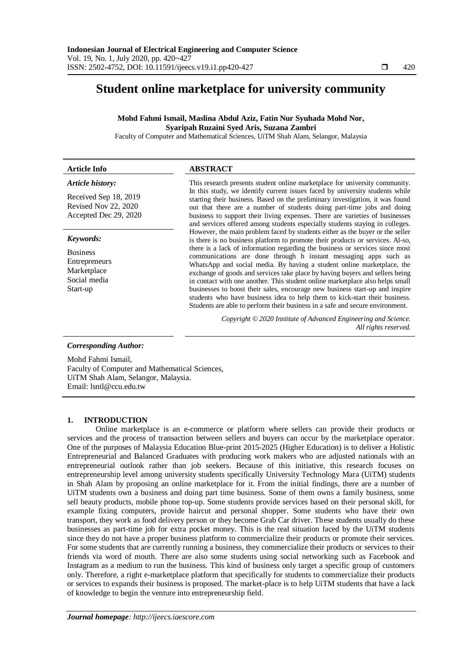# **Student online marketplace for university community**

## **Mohd Fahmi Ismail, Maslina Abdul Aziz, Fatin Nur Syuhada Mohd Nor, Syaripah Ruzaini Syed Aris, Suzana Zambri**

Faculty of Computer and Mathematical Sciences, UiTM Shah Alam, Selangor, Malaysia

| <b>Article Info</b>                                                                               | <b>ABSTRACT</b>                                                                                                                                                                                                                                                                                                                                                                                                                                                                                                                                                                                                                                                                                                                                                                                                                                                                                                                                                                                                                                                                                                                                                                                                                                                                                         |
|---------------------------------------------------------------------------------------------------|---------------------------------------------------------------------------------------------------------------------------------------------------------------------------------------------------------------------------------------------------------------------------------------------------------------------------------------------------------------------------------------------------------------------------------------------------------------------------------------------------------------------------------------------------------------------------------------------------------------------------------------------------------------------------------------------------------------------------------------------------------------------------------------------------------------------------------------------------------------------------------------------------------------------------------------------------------------------------------------------------------------------------------------------------------------------------------------------------------------------------------------------------------------------------------------------------------------------------------------------------------------------------------------------------------|
| Article history:<br>Received Sep 18, 2019<br><b>Revised Nov 22, 2020</b><br>Accepted Dec 29, 2020 | This research presents student online marketplace for university community.<br>In this study, we identify current issues faced by university students while<br>starting their business. Based on the preliminary investigation, it was found<br>out that there are a number of students doing part-time jobs and doing<br>business to support their living expenses. There are varieties of businesses<br>and services offered among students especially students staying in colleges.<br>However, the main problem faced by students either as the buyer or the seller<br>is there is no business platform to promote their products or services. Al-so,<br>there is a lack of information regarding the business or services since most<br>communications are done through h instant messaging apps such as<br>WhatsApp and social media. By having a student online marketplace, the<br>exchange of goods and services take place by having buyers and sellers being<br>in contact with one another. This student online marketplace also helps small<br>businesses to boost their sales, encourage new business start-up and inspire<br>students who have business idea to help them to kick-start their business.<br>Students are able to perform their business in a safe and secure environment. |
| Keywords:<br><b>Business</b><br>Entrepreneurs<br>Marketplace<br>Social media<br>Start-up          |                                                                                                                                                                                                                                                                                                                                                                                                                                                                                                                                                                                                                                                                                                                                                                                                                                                                                                                                                                                                                                                                                                                                                                                                                                                                                                         |
| <b>Corresponding Author:</b>                                                                      | Copyright © 2020 Institute of Advanced Engineering and Science.<br>All rights reserved.                                                                                                                                                                                                                                                                                                                                                                                                                                                                                                                                                                                                                                                                                                                                                                                                                                                                                                                                                                                                                                                                                                                                                                                                                 |

Mohd Fahmi Ismail, Faculty of Computer and Mathematical Sciences, UiTM Shah Alam, Selangor, Malaysia. Email: lsntl@ccu.edu.tw

## **1. INTRODUCTION**

Online marketplace is an e-commerce or platform where sellers can provide their products or services and the process of transaction between sellers and buyers can occur by the marketplace operator. One of the purposes of Malaysia Education Blue-print 2015-2025 (Higher Education) is to deliver a Holistic Entrepreneurial and Balanced Graduates with producing work makers who are adjusted nationals with an entrepreneurial outlook rather than job seekers. Because of this initiative, this research focuses on entrepreneurship level among university students specifically University Technology Mara (UiTM) students in Shah Alam by proposing an online marketplace for it. From the initial findings, there are a number of UiTM students own a business and doing part time business. Some of them owns a family business, some sell beauty products, mobile phone top-up. Some students provide services based on their personal skill, for example fixing computers, provide haircut and personal shopper. Some students who have their own transport, they work as food delivery person or they become Grab Car driver. These students usually do these businesses as part-time job for extra pocket money. This is the real situation faced by the UiTM students since they do not have a proper business platform to commercialize their products or promote their services. For some students that are currently running a business, they commercialize their products or services to their friends via word of mouth. There are also some students using social networking such as Facebook and Instagram as a medium to run the business. This kind of business only target a specific group of customers only. Therefore, a right e-marketplace platform that specifically for students to commercialize their products or services to expands their business is proposed. The market-place is to help UiTM students that have a lack of knowledge to begin the venture into entrepreneurship field.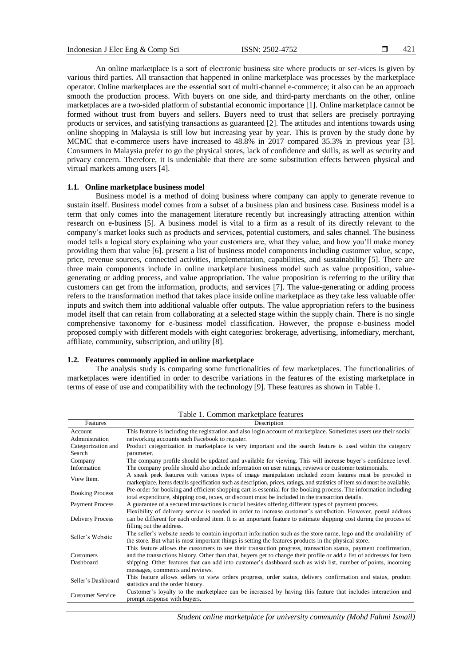An online marketplace is a sort of electronic business site where products or ser-vices is given by various third parties. All transaction that happened in online marketplace was processes by the marketplace operator. Online marketplaces are the essential sort of multi-channel e-commerce; it also can be an approach smooth the production process. With buyers on one side, and third-party merchants on the other, online marketplaces are a two-sided platform of substantial economic importance [1]. Online marketplace cannot be formed without trust from buyers and sellers. Buyers need to trust that sellers are precisely portraying products or services, and satisfying transactions as guaranteed [2]. The attitudes and intentions towards using online shopping in Malaysia is still low but increasing year by year. This is proven by the study done by MCMC that e-commerce users have increased to 48.8% in 2017 compared 35.3% in previous year [3]. Consumers in Malaysia prefer to go the physical stores, lack of confidence and skills, as well as security and privacy concern. Therefore, it is undeniable that there are some substitution effects between physical and virtual markets among users [4].

## **1.1. Online marketplace business model**

Business model is a method of doing business where company can apply to generate revenue to sustain itself. Business model comes from a subset of a business plan and business case. Business model is a term that only comes into the management literature recently but increasingly attracting attention within research on e-business [5]. A business model is vital to a firm as a result of its directly relevant to the company's market looks such as products and services, potential customers, and sales channel. The business model tells a logical story explaining who your customers are, what they value, and how you'll make money providing them that value [6]. present a list of business model components including customer value, scope, price, revenue sources, connected activities, implementation, capabilities, and sustainability [5]. There are three main components include in online marketplace business model such as value proposition, valuegenerating or adding process, and value appropriation. The value proposition is referring to the utility that customers can get from the information, products, and services [7]. The value-generating or adding process refers to the transformation method that takes place inside online marketplace as they take less valuable offer inputs and switch them into additional valuable offer outputs. The value appropriation refers to the business model itself that can retain from collaborating at a selected stage within the supply chain. There is no single comprehensive taxonomy for e-business model classification. However, the propose e-business model proposed comply with different models with eight categories: brokerage, advertising, infomediary, merchant, affiliate, community, subscription, and utility [8].

## **1.2. Features commonly applied in online marketplace**

The analysis study is comparing some functionalities of few marketplaces. The functionalities of marketplaces were identified in order to describe variations in the features of the existing marketplace in terms of ease of use and compatibility with the technology [9]. These features as shown in Table 1.

| Features                | Description                                                                                                                                                                                                                                |
|-------------------------|--------------------------------------------------------------------------------------------------------------------------------------------------------------------------------------------------------------------------------------------|
| Account                 | This feature is including the registration and also login account of marketplace. Sometimes users use their social                                                                                                                         |
| Administration          | networking accounts such Facebook to register.                                                                                                                                                                                             |
| Categorization and      | Product categorization in marketplace is very important and the search feature is used within the category                                                                                                                                 |
| Search                  | parameter.                                                                                                                                                                                                                                 |
| Company                 | The company profile should be updated and available for viewing. This will increase buyer's confidence level.                                                                                                                              |
| Information             | The company profile should also include information on user ratings, reviews or customer testimonials.                                                                                                                                     |
| View Item.              | A sneak peek features with various types of image manipulation included zoom features must be provided in<br>marketplace. Items details specification such as description, prices, ratings, and statistics of item sold must be available. |
| <b>Booking Process</b>  | Pre-order for booking and efficient shopping cart is essential for the booking process. The information including<br>total expenditure, shipping cost, taxes, or discount must be included in the transaction details.                     |
| <b>Payment Process</b>  | A guarantee of a secured transactions is crucial besides offering different types of payment process.                                                                                                                                      |
|                         | Flexibility of delivery service is needed in order to increase customer's satisfaction. However, postal address                                                                                                                            |
| Delivery Process        | can be different for each ordered item. It is an important feature to estimate shipping cost during the process of                                                                                                                         |
|                         | filling out the address.                                                                                                                                                                                                                   |
| Seller's Website        | The seller's website needs to contain important information such as the store name, logo and the availability of<br>the store. But what is most important things is setting the features products in the physical store.                   |
|                         | This feature allows the customers to see their transaction progress, transaction status, payment confirmation,                                                                                                                             |
| <b>Customers</b>        | and the transactions history. Other than that, buyers get to change their profile or add a list of addresses for item                                                                                                                      |
| Dashboard               | shipping. Other features that can add into customer's dashboard such as wish list, number of points, incoming                                                                                                                              |
|                         | messages, comments and reviews.                                                                                                                                                                                                            |
| Seller's Dashboard      | This feature allows sellers to view orders progress, order status, delivery confirmation and status, product                                                                                                                               |
|                         | statistics and the order history.                                                                                                                                                                                                          |
| <b>Customer Service</b> | Customer's loyalty to the marketplace can be increased by having this feature that includes interaction and                                                                                                                                |
|                         | prompt response with buyers.                                                                                                                                                                                                               |

Table 1. Common marketplace features

*Student online marketplace for university community (Mohd Fahmi Ismail)*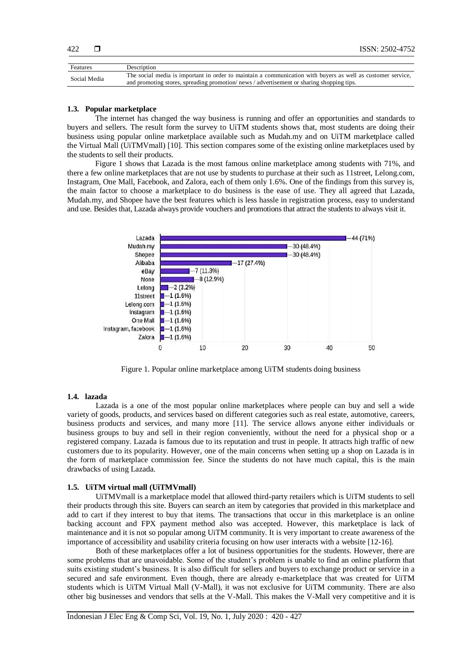| Features     | Description                                                                                                 |
|--------------|-------------------------------------------------------------------------------------------------------------|
| Social Media | The social media is important in order to maintain a communication with buyers as well as customer service, |
|              | and promoting stores, spreading promotion/news/advertisement or sharing shopping tips.                      |

#### **1.3. Popular marketplace**

The internet has changed the way business is running and offer an opportunities and standards to buyers and sellers. The result form the survey to UiTM students shows that, most students are doing their business using popular online marketplace available such as Mudah.my and on UiTM marketplace called the Virtual Mall (UiTMVmall) [10]. This section compares some of the existing online marketplaces used by the students to sell their products.

Figure 1 shows that Lazada is the most famous online marketplace among students with 71%, and there a few online marketplaces that are not use by students to purchase at their such as 11street, Lelong.com, Instagram, One Mall, Facebook, and Zalora, each of them only 1.6%. One of the findings from this survey is, the main factor to choose a marketplace to do business is the ease of use. They all agreed that Lazada, Mudah.my, and Shopee have the best features which is less hassle in registration process, easy to understand and use. Besides that, Lazada always provide vouchers and promotions that attract the students to always visit it.



Figure 1. Popular online marketplace among UiTM students doing business

#### **1.4. lazada**

Lazada is a one of the most popular online marketplaces where people can buy and sell a wide variety of goods, products, and services based on different categories such as real estate, automotive, careers, business products and services, and many more [11]. The service allows anyone either individuals or business groups to buy and sell in their region conveniently, without the need for a physical shop or a registered company. Lazada is famous due to its reputation and trust in people. It attracts high traffic of new customers due to its popularity. However, one of the main concerns when setting up a shop on Lazada is in the form of marketplace commission fee. Since the students do not have much capital, this is the main drawbacks of using Lazada.

#### **1.5. UiTM virtual mall (UiTMVmall)**

UiTMVmall is a marketplace model that allowed third-party retailers which is UiTM students to sell their products through this site. Buyers can search an item by categories that provided in this marketplace and add to cart if they interest to buy that items. The transactions that occur in this marketplace is an online backing account and FPX payment method also was accepted. However, this marketplace is lack of maintenance and it is not so popular among UiTM community. It is very important to create awareness of the importance of accessibility and usability criteria focusing on how user interacts with a website [12-16].

Both of these marketplaces offer a lot of business opportunities for the students. However, there are some problems that are unavoidable. Some of the student's problem is unable to find an online platform that suits existing student's business. It is also difficult for sellers and buyers to exchange product or service in a secured and safe environment. Even though, there are already e-marketplace that was created for UiTM students which is UiTM Virtual Mall (V-Mall), it was not exclusive for UiTM community. There are also other big businesses and vendors that sells at the V-Mall. This makes the V-Mall very competitive and it is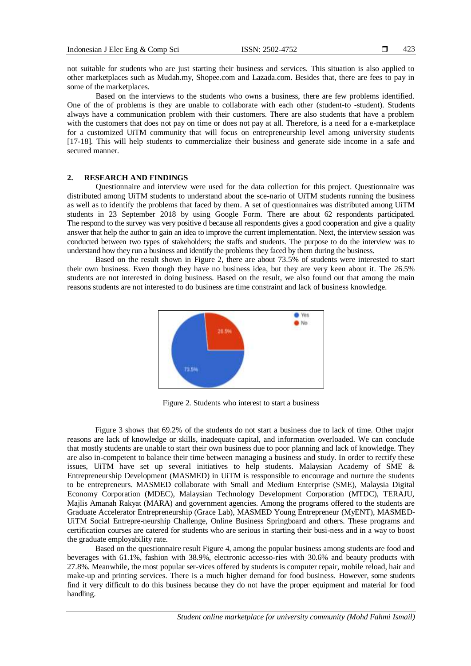not suitable for students who are just starting their business and services. This situation is also applied to other marketplaces such as Mudah.my, Shopee.com and Lazada.com. Besides that, there are fees to pay in some of the marketplaces.

Based on the interviews to the students who owns a business, there are few problems identified. One of the of problems is they are unable to collaborate with each other (student-to -student). Students always have a communication problem with their customers. There are also students that have a problem with the customers that does not pay on time or does not pay at all. Therefore, is a need for a e-marketplace for a customized UiTM community that will focus on entrepreneurship level among university students [17-18]. This will help students to commercialize their business and generate side income in a safe and secured manner.

## **2. RESEARCH AND FINDINGS**

Questionnaire and interview were used for the data collection for this project. Questionnaire was distributed among UiTM students to understand about the sce-nario of UiTM students running the business as well as to identify the problems that faced by them. A set of questionnaires was distributed among UiTM students in 23 September 2018 by using Google Form. There are about 62 respondents participated. The respond to the survey was very positive d because all respondents gives a good cooperation and give a quality answer that help the author to gain an idea to improve the current implementation. Next, the interview session was conducted between two types of stakeholders; the staffs and students. The purpose to do the interview was to understand how they run a business and identify the problems they faced by them during the business.

Based on the result shown in Figure 2, there are about 73.5% of students were interested to start their own business. Even though they have no business idea, but they are very keen about it. The 26.5% students are not interested in doing business. Based on the result, we also found out that among the main reasons students are not interested to do business are time constraint and lack of business knowledge.



Figure 2. Students who interest to start a business

Figure 3 shows that 69.2% of the students do not start a business due to lack of time. Other major reasons are lack of knowledge or skills, inadequate capital, and information overloaded. We can conclude that mostly students are unable to start their own business due to poor planning and lack of knowledge. They are also in-competent to balance their time between managing a business and study. In order to rectify these issues, UiTM have set up several initiatives to help students. Malaysian Academy of SME & Entrepreneurship Development (MASMED) in UiTM is ressponsible to encourage and nurture the students to be entrepreneurs. MASMED collaborate with Small and Medium Enterprise (SME), Malaysia Digital Economy Corporation (MDEC), Malaysian Technology Development Corporation (MTDC), TERAJU, Majlis Amanah Rakyat (MARA) and government agencies. Among the programs offered to the students are Graduate Accelerator Entrepreneurship (Grace Lab), MASMED Young Entrepreneur (MyENT), MASMED-UiTM Social Entrepre-neurship Challenge, Online Business Springboard and others. These programs and certification courses are catered for students who are serious in starting their busi-ness and in a way to boost the graduate employability rate.

Based on the questionnaire result Figure 4, among the popular business among students are food and beverages with 61.1%, fashion with 38.9%, electronic accesso-ries with 30.6% and beauty products with 27.8%. Meanwhile, the most popular ser-vices offered by students is computer repair, mobile reload, hair and make-up and printing services. There is a much higher demand for food business. However, some students find it very difficult to do this business because they do not have the proper equipment and material for food handling.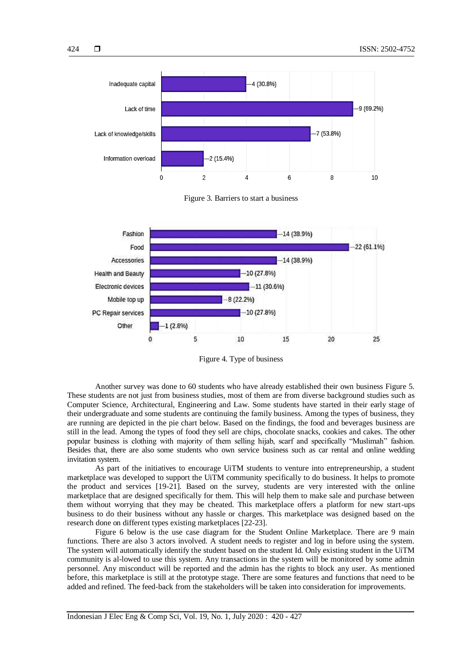

Figure 3. Barriers to start a business



Figure 4. Type of business

Another survey was done to 60 students who have already established their own business Figure 5. These students are not just from business studies, most of them are from diverse background studies such as Computer Science, Architectural, Engineering and Law. Some students have started in their early stage of their undergraduate and some students are continuing the family business. Among the types of business, they are running are depicted in the pie chart below. Based on the findings, the food and beverages business are still in the lead. Among the types of food they sell are chips, chocolate snacks, cookies and cakes. The other popular business is clothing with majority of them selling hijab, scarf and specifically "Muslimah" fashion. Besides that, there are also some students who own service business such as car rental and online wedding invitation system.

As part of the initiatives to encourage UiTM students to venture into entrepreneurship, a student marketplace was developed to support the UiTM community specifically to do business. It helps to promote the product and services [19-21]. Based on the survey, students are very interested with the online marketplace that are designed specifically for them. This will help them to make sale and purchase between them without worrying that they may be cheated. This marketplace offers a platform for new start-ups business to do their business without any hassle or charges. This marketplace was designed based on the research done on different types existing marketplaces [22-23].

Figure 6 below is the use case diagram for the Student Online Marketplace. There are 9 main functions. There are also 3 actors involved. A student needs to register and log in before using the system. The system will automatically identify the student based on the student Id. Only existing student in the UiTM community is al-lowed to use this system. Any transactions in the system will be monitored by some admin personnel. Any misconduct will be reported and the admin has the rights to block any user. As mentioned before, this marketplace is still at the prototype stage. There are some features and functions that need to be added and refined. The feed-back from the stakeholders will be taken into consideration for improvements.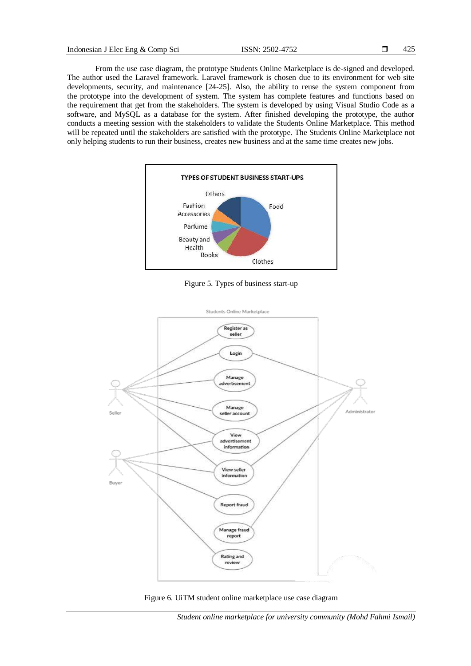From the use case diagram, the prototype Students Online Marketplace is de-signed and developed. The author used the Laravel framework. Laravel framework is chosen due to its environment for web site developments, security, and maintenance [24-25]. Also, the ability to reuse the system component from the prototype into the development of system. The system has complete features and functions based on the requirement that get from the stakeholders. The system is developed by using Visual Studio Code as a software, and MySQL as a database for the system. After finished developing the prototype, the author conducts a meeting session with the stakeholders to validate the Students Online Marketplace. This method will be repeated until the stakeholders are satisfied with the prototype. The Students Online Marketplace not only helping students to run their business, creates new business and at the same time creates new jobs.



Figure 5. Types of business start-up





*Student online marketplace for university community (Mohd Fahmi Ismail)*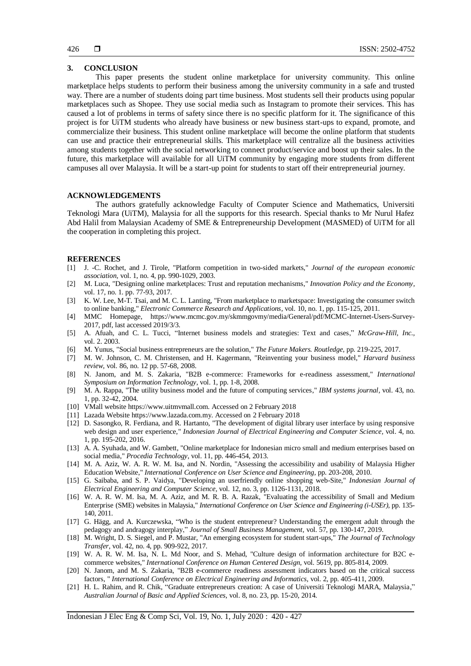### **3. CONCLUSION**

This paper presents the student online marketplace for university community. This online marketplace helps students to perform their business among the university community in a safe and trusted way. There are a number of students doing part time business. Most students sell their products using popular marketplaces such as Shopee. They use social media such as Instagram to promote their services. This has caused a lot of problems in terms of safety since there is no specific platform for it. The significance of this project is for UiTM students who already have business or new business start-ups to expand, promote, and commercialize their business. This student online marketplace will become the online platform that students can use and practice their entrepreneurial skills. This marketplace will centralize all the business activities among students together with the social networking to connect product/service and boost up their sales. In the future, this marketplace will available for all UiTM community by engaging more students from different campuses all over Malaysia. It will be a start-up point for students to start off their entrepreneurial journey.

## **ACKNOWLEDGEMENTS**

The authors gratefully acknowledge Faculty of Computer Science and Mathematics, Universiti Teknologi Mara (UiTM), Malaysia for all the supports for this research. Special thanks to Mr Nurul Hafez Abd Halil from Malaysian Academy of SME & Entrepreneurship Development (MASMED) of UiTM for all the cooperation in completing this project.

#### **REFERENCES**

- [1] J. -C. Rochet, and J. Tirole, "Platform competition in two-sided markets," *Journal of the european economic association,* vol. 1, no. 4, pp. 990-1029, 2003.
- [2] M. Luca, "Designing online marketplaces: Trust and reputation mechanisms," *Innovation Policy and the Economy,* vol. 17, no. 1. pp. 77-93, 2017.
- [3] K. W. Lee, M-T. Tsai, and M. C. L. Lanting, "From marketplace to marketspace: Investigating the consumer switch to online banking," *Electronic Commerce Research and Applications,* vol. 10, no. 1, pp. 115-125, 2011.
- [4] MMC Homepage, https://www.mcmc.gov.my/skmmgovmy/media/General/pdf/MCMC-Internet-Users-Survey-2017, pdf, last accessed 2019/3/3.
- [5] A. Afuah, and C. L. Tucci, "Internet business models and strategies: Text and cases," *McGraw-Hill, Inc.,* vol. 2. 2003.
- [6] M. Yunus, "Social business entrepreneurs are the solution," *The Future Makers. Routledge,* pp. 219-225, 2017.
- [7] M. W. Johnson, C. M. Christensen, and H. Kagermann, "Reinventing your business model," *Harvard business review,* vol. 86, no. 12 pp. 57-68, 2008.
- [8] N. Janom, and M. S. Zakaria, "B2B e-commerce: Frameworks for e-readiness assessment," *International Symposium on Information Technology,* vol. 1, pp. 1-8, 2008.
- [9] M. A. Rappa, "The utility business model and the future of computing services," *IBM systems journal,* vol. 43, no. 1, pp. 32-42, 2004.
- [10] VMall website https://www.uitmvmall.com. Accessed on 2 February 2018
- [11] Lazada Website https://www.lazada.com.my. Accessed on 2 February 2018
- [12] D. Sasongko, R. Ferdiana, and R. Hartanto, "The development of digital library user interface by using responsive web design and user experience," *Indonesian Journal of Electrical Engineering and Computer Science,* vol. 4, no. 1, pp. 195-202, 2016.
- [13] A. A. Syuhada, and W. Gambett, "Online marketplace for Indonesian micro small and medium enterprises based on social media," *Procedia Technology*, vol. 11, pp. 446-454, 2013.
- [14] M. A. Aziz, W. A. R. W. M. Isa, and N. Nordin, "Assessing the accessibility and usability of Malaysia Higher Education Website," *International Conference on User Science and Engineering,* pp. 203-208, 2010.
- [15] G. Saibaba, and S. P. Vaidya, "Developing an userfriendly online shopping web-Site," *Indonesian Journal of Electrical Engineering and Computer Science,* vol. 12, no. 3, pp. 1126-1131, 2018.
- [16] W. A. R. W. M. Isa, M. A. Aziz, and M. R. B. A. Razak, "Evaluating the accessibility of Small and Medium Enterprise (SME) websites in Malaysia," *International Conference on User Science and Engineering (i-USEr),* pp. 135- 140, 2011.
- [17] G. Hägg, and A. Kurczewska, "Who is the student entrepreneur? Understanding the emergent adult through the pedagogy and andragogy interplay," *Journal of Small Business Management,* vol. 57, pp. 130-147, 2019.
- [18] M. Wright, D. S. Siegel, and P. Mustar, "An emerging ecosystem for student start-ups," *The Journal of Technology Transfer,* vol. 42, no. 4, pp. 909-922, 2017.
- [19] W. A. R. W. M. Isa, N. L. Md Noor, and S. Mehad, "Culture design of information architecture for B2C ecommerce websites," *International Conference on Human Centered Design,* vol. 5619, pp. 805-814, 2009.
- [20] N. Janom, and M. S. Zakaria, "B2B e-commerce readiness assessment indicators based on the critical success factors, " *International Conference on Electrical Engineering and Informatics,* vol. 2, pp. 405-411, 2009.
- [21] H. L. Rahim, and R. Chik, "Graduate entrepreneurs creation: A case of Universiti Teknologi MARA, Malaysia," *Australian Journal of Basic and Applied Sciences,* vol. 8, no. 23, pp. 15-20, 2014.